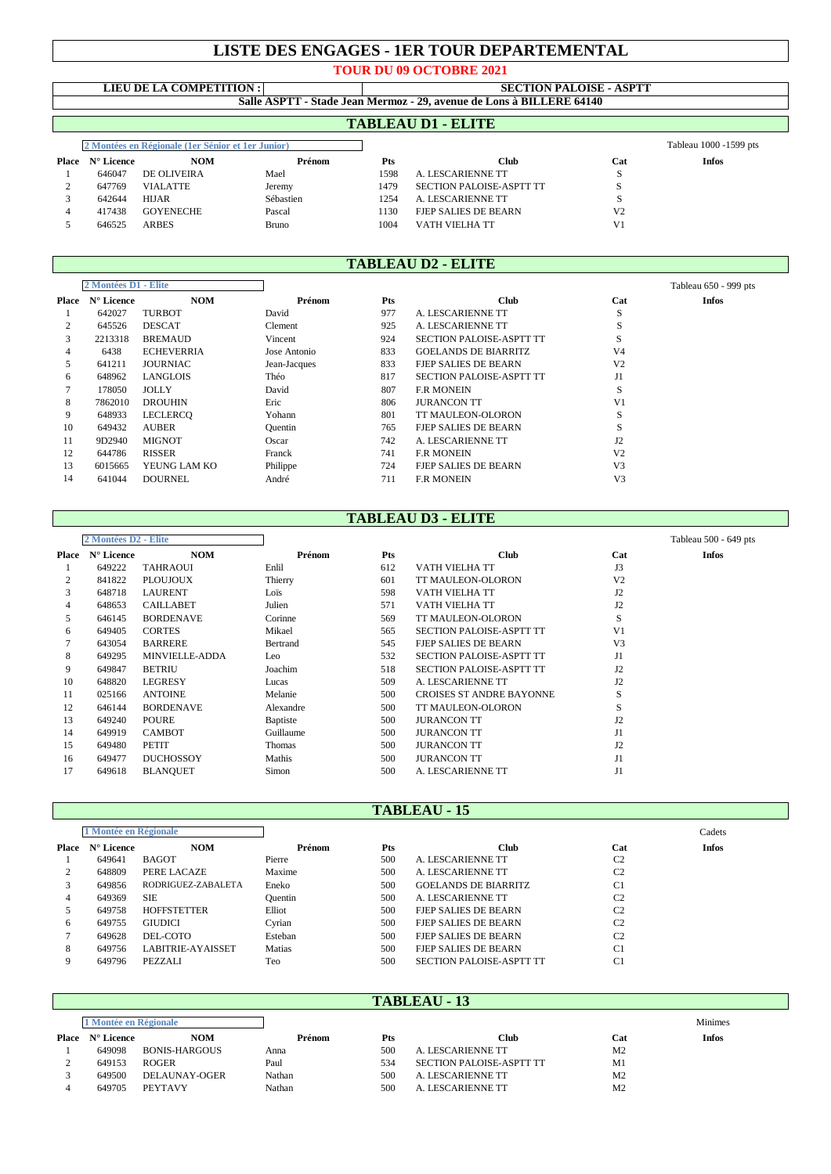# **LISTE DES ENGAGES - 1ER TOUR DEPARTEMENTAL**

**TOUR DU 09 OCTOBRE 2021**

## **LIEU DE LA COMPETITION :**

## **SECTION PALOISE - ASPTT**

**Salle ASPTT - Stade Jean Mermoz - 29, avenue de Lons à BILLERE 64140**

## **TABLEAU D1 - ELITE**

|       | 2 Montées en Régionale (1 er Sénior et 1 er Junior) |                  |              |      |                             |                | Tableau 1000 -1599 pts |
|-------|-----------------------------------------------------|------------------|--------------|------|-----------------------------|----------------|------------------------|
| Place | $N^{\circ}$ Licence                                 | <b>NOM</b>       | Prénom       | Pts  | Club                        | Cat            | <b>Infos</b>           |
|       | 646047                                              | DE OLIVEIRA      | Mael         | 1598 | A. LESCARIENNE TT           | м.             |                        |
|       | 647769                                              | <b>VIALATTE</b>  | Jeremy       | 1479 | SECTION PALOISE-ASPTT TT    |                |                        |
|       | 642644                                              | <b>HIJAR</b>     | Sébastien    | 1254 | A. LESCARIENNE TT           | u              |                        |
|       | 417438                                              | <b>GOYENECHE</b> | Pascal       | 1130 | <b>FJEP SALIES DE BEARN</b> | V <sub>2</sub> |                        |
|       | 646525                                              | <b>ARBES</b>     | <b>Bruno</b> | 1004 | VATH VIELHA TT              | V1             |                        |

#### **TABLEAU D2 - ELITE**

|                | 2 Montées D1 - Elite |                   |              |            |                                 |                | Tableau 650 - 999 pts |
|----------------|----------------------|-------------------|--------------|------------|---------------------------------|----------------|-----------------------|
| Place          | $N^{\circ}$ Licence  | <b>NOM</b>        | Prénom       | <b>Pts</b> | <b>Club</b>                     | Cat            | <b>Infos</b>          |
|                | 642027               | <b>TURBOT</b>     | David        | 977        | A. LESCARIENNE TT               | S              |                       |
|                | 645526               | <b>DESCAT</b>     | Clement      | 925        | A. LESCARIENNE TT               | S              |                       |
| 3              | 2213318              | <b>BREMAUD</b>    | Vincent      | 924        | <b>SECTION PALOISE-ASPTT TT</b> | S              |                       |
| $\overline{4}$ | 6438                 | <b>ECHEVERRIA</b> | Jose Antonio | 833        | <b>GOELANDS DE BIARRITZ</b>     | V <sub>4</sub> |                       |
| 5              | 641211               | <b>JOURNIAC</b>   | Jean-Jacques | 833        | <b>FJEP SALIES DE BEARN</b>     | V <sub>2</sub> |                       |
| 6              | 648962               | <b>LANGLOIS</b>   | Théo         | 817        | SECTION PALOISE-ASPTT TT        | J1             |                       |
|                | 178050               | <b>JOLLY</b>      | David        | 807        | <b>F.R MONEIN</b>               | S              |                       |
| 8              | 7862010              | <b>DROUHIN</b>    | Eric         | 806        | <b>JURANCON TT</b>              | V <sub>1</sub> |                       |
| 9              | 648933               | LECLERCO          | Yohann       | 801        | <b>TT MAULEON-OLORON</b>        | S              |                       |
| 10             | 649432               | <b>AUBER</b>      | Ouentin      | 765        | <b>FJEP SALIES DE BEARN</b>     | S              |                       |
| 11             | 9D2940               | <b>MIGNOT</b>     | Oscar        | 742        | A. LESCARIENNE TT               | $_{\rm J2}$    |                       |
| 12             | 644786               | <b>RISSER</b>     | Franck       | 741        | <b>F.R MONEIN</b>               | V <sub>2</sub> |                       |
| 13             | 6015665              | YEUNG LAM KO      | Philippe     | 724        | <b>FJEP SALIES DE BEARN</b>     | V <sub>3</sub> |                       |
| 14             | 641044               | <b>DOURNEL</b>    | André        | 711        | <b>F.R MONEIN</b>               | V <sub>3</sub> |                       |

#### **TABLEAU D3 - ELITE**

|       | 2 Montées D2 - Elite |                       |           |            |                                 |                | Tableau 500 - 649 pts |
|-------|----------------------|-----------------------|-----------|------------|---------------------------------|----------------|-----------------------|
| Place | $N^{\circ}$ Licence  | <b>NOM</b>            | Prénom    | <b>Pts</b> | <b>Club</b>                     | Cat            | <b>Infos</b>          |
|       | 649222               | <b>TAHRAOUI</b>       | Enlil     | 612        | VATH VIELHA TT                  | J3             |                       |
| 2     | 841822               | <b>PLOUJOUX</b>       | Thierry   | 601        | TT MAULEON-OLORON               | V <sub>2</sub> |                       |
| 3     | 648718               | <b>LAURENT</b>        | Loïs      | 598        | VATH VIELHA TT                  | J <sub>2</sub> |                       |
| 4     | 648653               | <b>CAILLABET</b>      | Julien    | 571        | VATH VIELHA TT                  | J <sub>2</sub> |                       |
| 5     | 646145               | <b>BORDENAVE</b>      | Corinne   | 569        | TT MAULEON-OLORON               | S              |                       |
| 6     | 649405               | <b>CORTES</b>         | Mikael    | 565        | <b>SECTION PALOISE-ASPTT TT</b> | V <sub>1</sub> |                       |
|       | 643054               | <b>BARRERE</b>        | Bertrand  | 545        | <b>FJEP SALIES DE BEARN</b>     | V <sub>3</sub> |                       |
| 8     | 649295               | <b>MINVIELLE-ADDA</b> | Leo       | 532        | <b>SECTION PALOISE-ASPTT TT</b> | J1             |                       |
| 9     | 649847               | <b>BETRIU</b>         | Joachim   | 518        | <b>SECTION PALOISE-ASPTT TT</b> | J <sub>2</sub> |                       |
| 10    | 648820               | <b>LEGRESY</b>        | Lucas     | 509        | A. LESCARIENNE TT               | J2             |                       |
| 11    | 025166               | <b>ANTOINE</b>        | Melanie   | 500        | <b>CROISES ST ANDRE BAYONNE</b> | S              |                       |
| 12    | 646144               | <b>BORDENAVE</b>      | Alexandre | 500        | TT MAULEON-OLORON               | S              |                       |
| 13    | 649240               | <b>POURE</b>          | Baptiste  | 500        | <b>JURANCON TT</b>              | J2             |                       |
| 14    | 649919               | <b>CAMBOT</b>         | Guillaume | 500        | <b>JURANCON TT</b>              | J1             |                       |
| 15    | 649480               | <b>PETIT</b>          | Thomas    | 500        | <b>JURANCON TT</b>              | J <sub>2</sub> |                       |
| 16    | 649477               | <b>DUCHOSSOY</b>      | Mathis    | 500        | <b>JURANCON TT</b>              | J1             |                       |
| 17    | 649618               | <b>BLANQUET</b>       | Simon     | 500        | A. LESCARIENNE TT               | J1             |                       |

#### **TABLEAU - 15**

|       | 1 Montée en Régionale |                          |         |     |                             |                | Cadets       |
|-------|-----------------------|--------------------------|---------|-----|-----------------------------|----------------|--------------|
| Place | $N^{\circ}$ Licence   | <b>NOM</b>               | Prénom  | Pts | <b>Club</b>                 | Cat            | <b>Infos</b> |
|       | 649641                | <b>BAGOT</b>             | Pierre  | 500 | A. LESCARIENNE TT           | C <sub>2</sub> |              |
|       | 648809                | PERE LACAZE              | Maxime  | 500 | A. LESCARIENNE TT           | C <sub>2</sub> |              |
|       | 649856                | RODRIGUEZ-ZABALETA       | Eneko   | 500 | <b>GOELANDS DE BIARRITZ</b> | C1             |              |
| 4     | 649369                | <b>SIE</b>               | Ouentin | 500 | A. LESCARIENNE TT           | C <sub>2</sub> |              |
|       | 649758                | <b>HOFFSTETTER</b>       | Elliot  | 500 | <b>FIEP SALIES DE BEARN</b> | C <sub>2</sub> |              |
| 6     | 649755                | <b>GIUDICI</b>           | Cvrian  | 500 | FIEP SALIES DE BEARN        | C <sub>2</sub> |              |
|       | 649628                | DEL-COTO                 | Esteban | 500 | <b>FJEP SALIES DE BEARN</b> | C <sub>2</sub> |              |
| 8     | 649756                | <b>LABITRIE-AYAISSET</b> | Matias  | 500 | <b>FIEP SALIES DE BEARN</b> | C1             |              |
|       | 649796                | PEZZALI                  | Teo     | 500 | SECTION PALOISE-ASPTT TT    | C1             |              |

## **TABLEAU - 13**

|                                         | ntée en Régionale |        |     |                          |                | <b>Minimes</b> |
|-----------------------------------------|-------------------|--------|-----|--------------------------|----------------|----------------|
| <b>Place</b> $N^{\circ}$ <b>Licence</b> | <b>NOM</b>        | Prénom | Pts | Club                     | Cat            | <b>Infos</b>   |
| 649098                                  | BONIS-HARGOUS     | Anna   | 500 | A. LESCARIENNE TT        | M <sub>2</sub> |                |
| 649153                                  | <b>ROGER</b>      | Paul   | 534 | SECTION PALOISE-ASPTT TT | M1             |                |
| 649500                                  | DELAUNAY-OGER     | Nathan | 500 | A. LESCARIENNE TT        | M <sub>2</sub> |                |
| 649705                                  | <b>PEYTAVY</b>    | Nathan | 500 | A. LESCARIENNE TT        | M <sub>2</sub> |                |